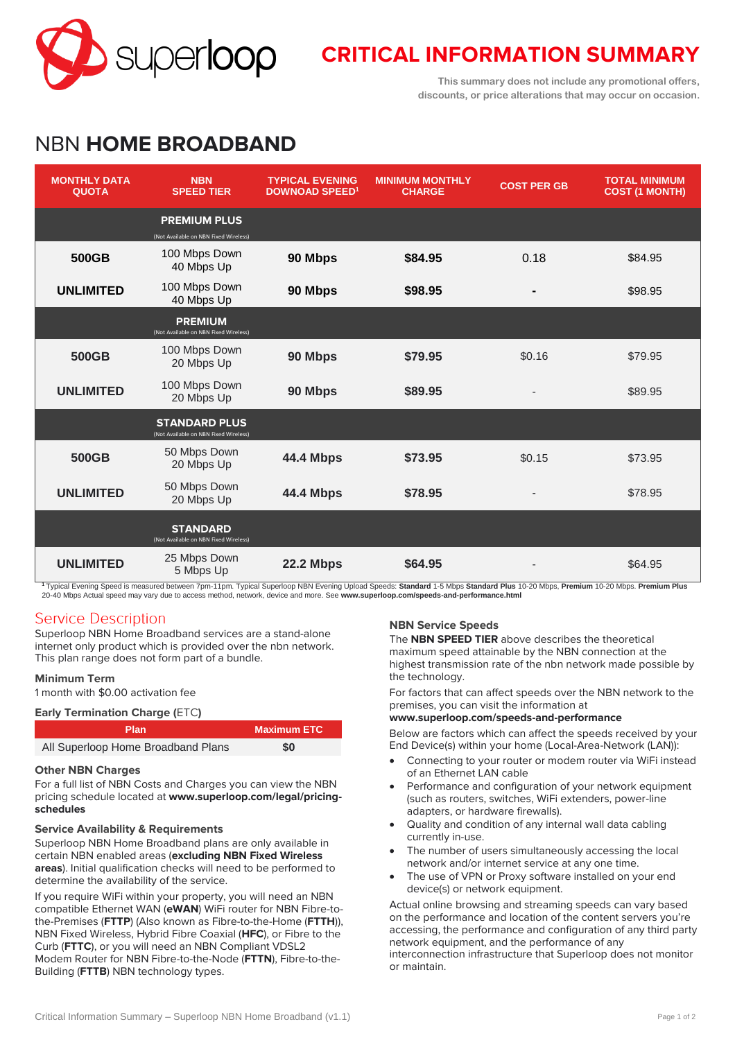

# **CRITICAL INFORMATION SUMMARY**

**This summary does not include any promotional offers, discounts, or price alterations that may occur on occasion.**

# NBN **HOME BROADBAND**

| <b>MONTHLY DATA</b><br><b>QUOTA</b> | <b>NBN</b><br><b>SPEED TIER</b>                               | <b>TYPICAL EVENING</b><br><b>DOWNOAD SPEED<sup>1</sup></b> | <b>MINIMUM MONTHLY</b><br><b>CHARGE</b> | <b>COST PER GB</b> | <b>TOTAL MINIMUM</b><br><b>COST (1 MONTH)</b> |
|-------------------------------------|---------------------------------------------------------------|------------------------------------------------------------|-----------------------------------------|--------------------|-----------------------------------------------|
|                                     | <b>PREMIUM PLUS</b><br>(Not Available on NBN Fixed Wireless)  |                                                            |                                         |                    |                                               |
| 500GB                               | 100 Mbps Down<br>40 Mbps Up                                   | 90 Mbps                                                    | \$84.95                                 | 0.18               | \$84.95                                       |
| <b>UNLIMITED</b>                    | 100 Mbps Down<br>40 Mbps Up                                   | 90 Mbps                                                    | \$98.95                                 |                    | \$98.95                                       |
|                                     | <b>PREMIUM</b><br>(Not Available on NBN Fixed Wireless)       |                                                            |                                         |                    |                                               |
| 500GB                               | 100 Mbps Down<br>20 Mbps Up                                   | 90 Mbps                                                    | \$79.95                                 | \$0.16             | \$79.95                                       |
| <b>UNLIMITED</b>                    | 100 Mbps Down<br>20 Mbps Up                                   | 90 Mbps                                                    | \$89.95                                 |                    | \$89.95                                       |
|                                     | <b>STANDARD PLUS</b><br>(Not Available on NBN Fixed Wireless) |                                                            |                                         |                    |                                               |
| 500GB                               | 50 Mbps Down<br>20 Mbps Up                                    | <b>44.4 Mbps</b>                                           | \$73.95                                 | \$0.15             | \$73.95                                       |
| <b>UNLIMITED</b>                    | 50 Mbps Down<br>20 Mbps Up                                    | <b>44.4 Mbps</b>                                           | \$78.95                                 |                    | \$78.95                                       |
|                                     | <b>STANDARD</b><br>(Not Available on NBN Fixed Wireless)      |                                                            |                                         |                    |                                               |
| <b>UNLIMITED</b>                    | 25 Mbps Down<br>5 Mbps Up                                     | <b>22.2 Mbps</b>                                           | \$64.95                                 |                    | \$64.95                                       |

**<sup>1</sup>** Typical Evening Speed is measured between 7pm-11pm. Typical Superloop NBN Evening Upload Speeds: **Standard** 1-5 Mbps **Standard Plus** 10-20 Mbps, **Premium** 10-20 Mbps. **Premium Plus** 20-40 Mbps Actual speed may vary due to access method, network, device and more. See **[www.superloop.com/speeds-and-performance.h](https://www.superloop.com/speeds-and-performance.html)tml**

# **Service Description**

Superloop NBN Home Broadband services are a stand-alone internet only product which is provided over the nbn network. This plan range does not form part of a bundle.

## **Minimum Term**

1 month with \$0.00 activation fee

| <b>Early Termination Charge (ETC)</b> |                    |  |
|---------------------------------------|--------------------|--|
| <b>Plan</b>                           | <b>Maximum ETC</b> |  |
| All Superloop Home Broadband Plans    | \$0                |  |

#### **Other NBN Charges**

For a full list of NBN Costs and Charges you can view the NBN pricing schedule located at **[www.superloop.com/legal/pricing](https://www.superloop.com/legal/pricing-schedules.html)[schedules](https://www.superloop.com/legal/pricing-schedules.html)**

#### **Service Availability & Requirements**

Superloop NBN Home Broadband plans are only available in certain NBN enabled areas (*excluding NBN Fixed Wireless areas*). Initial qualification checks will need to be performed to determine the availability of the service.

If you require WiFi within your property, you will need an NBN compatible Ethernet WAN (**eWAN**) WiFi router for NBN Fibre-tothe-Premises (**FTTP**) (Also known as Fibre-to-the-Home (**FTTH**)), NBN Fixed Wireless, Hybrid Fibre Coaxial (**HFC**), or Fibre to the Curb (**FTTC**), or you will need an NBN Compliant VDSL2 Modem Router for NBN Fibre-to-the-Node (**FTTN**), Fibre-to-the-Building (**FTTB**) NBN technology types.

## **NBN Service Speeds**

The **NBN SPEED TIER** above describes the theoretical maximum speed attainable by the NBN connection at the highest transmission rate of the nbn network made possible by the technology.

For factors that can affect speeds over the NBN network to the premises, you can visit the information at

#### **[www.superloop.com/speeds-and-performance](https://www.superloop.com/speeds-and-performance.html)**

Below are factors which can affect the speeds received by your End Device(s) within your home (Local-Area-Network (LAN)):

- Connecting to your router or modem router via WiFi instead of an Ethernet LAN cable
- Performance and configuration of your network equipment (such as routers, switches, WiFi extenders, power-line adapters, or hardware firewalls).
- Quality and condition of any internal wall data cabling currently in-use.
- The number of users simultaneously accessing the local network and/or internet service at any one time.
- The use of VPN or Proxy software installed on your end device(s) or network equipment.

Actual online browsing and streaming speeds can vary based on the performance and location of the content servers you're accessing, the performance and configuration of any third party network equipment, and the performance of any interconnection infrastructure that Superloop does not monitor or maintain.